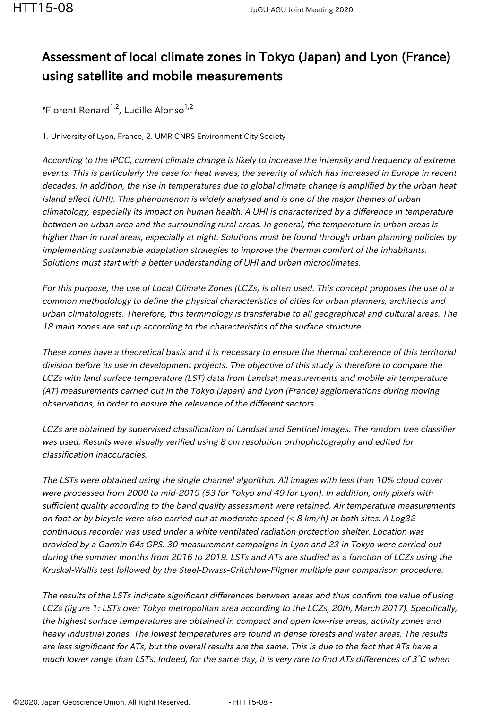## Assessment of local climate zones in Tokyo (Japan) and Lyon (France) using satellite and mobile measurements

\*Florent Renard<sup>1,2</sup>, Lucille Alonso<sup>1,2</sup>

1. University of Lyon, France, 2. UMR CNRS Environment City Society

According to the IPCC, current climate change is likely to increase the intensity and frequency of extreme events. This is particularly the case for heat waves, the severity of which has increased in Europe in recent decades. In addition, the rise in temperatures due to global climate change is amplified by the urban heat island effect (UHI). This phenomenon is widely analysed and is one of the major themes of urban climatology, especially its impact on human health. A UHI is characterized by a difference in temperature between an urban area and the surrounding rural areas. In general, the temperature in urban areas is higher than in rural areas, especially at night. Solutions must be found through urban planning policies by implementing sustainable adaptation strategies to improve the thermal comfort of the inhabitants. Solutions must start with a better understanding of UHI and urban microclimates.

For this purpose, the use of Local Climate Zones (LCZs) is often used. This concept proposes the use of a common methodology to define the physical characteristics of cities for urban planners, architects and urban climatologists. Therefore, this terminology is transferable to all geographical and cultural areas. The 18 main zones are set up according to the characteristics of the surface structure.

These zones have a theoretical basis and it is necessary to ensure the thermal coherence of this territorial division before its use in development projects. The objective of this study is therefore to compare the LCZs with land surface temperature (LST) data from Landsat measurements and mobile air temperature (AT) measurements carried out in the Tokyo (Japan) and Lyon (France) agglomerations during moving observations, in order to ensure the relevance of the different sectors.

LCZs are obtained by supervised classification of Landsat and Sentinel images. The random tree classifier was used. Results were visually verified using 8 cm resolution orthophotography and edited for classification inaccuracies.

The LSTs were obtained using the single channel algorithm. All images with less than 10% cloud cover were processed from 2000 to mid-2019 (53 for Tokyo and 49 for Lyon). In addition, only pixels with sufficient quality according to the band quality assessment were retained. Air temperature measurements on foot or by bicycle were also carried out at moderate speed  $( $8 \text{ km/h}$ )$  at both sites. A Log32 continuous recorder was used under a white ventilated radiation protection shelter. Location was provided by a Garmin 64s GPS. 30 measurement campaigns in Lyon and 23 in Tokyo were carried out during the summer months from 2016 to 2019. LSTs and ATs are studied as a function of LCZs using the Kruskal-Wallis test followed by the Steel-Dwass-Critchlow-Fligner multiple pair comparison procedure.

The results of the LSTs indicate significant differences between areas and thus confirm the value of using LCZs (figure 1: LSTs over Tokyo metropolitan area according to the LCZs, 20th, March 2017). Specifically, the highest surface temperatures are obtained in compact and open low-rise areas, activity zones and heavy industrial zones. The lowest temperatures are found in dense forests and water areas. The results are less significant for ATs, but the overall results are the same. This is due to the fact that ATs have a much lower range than LSTs. Indeed, for the same day, it is very rare to find ATs differences of 3°C when